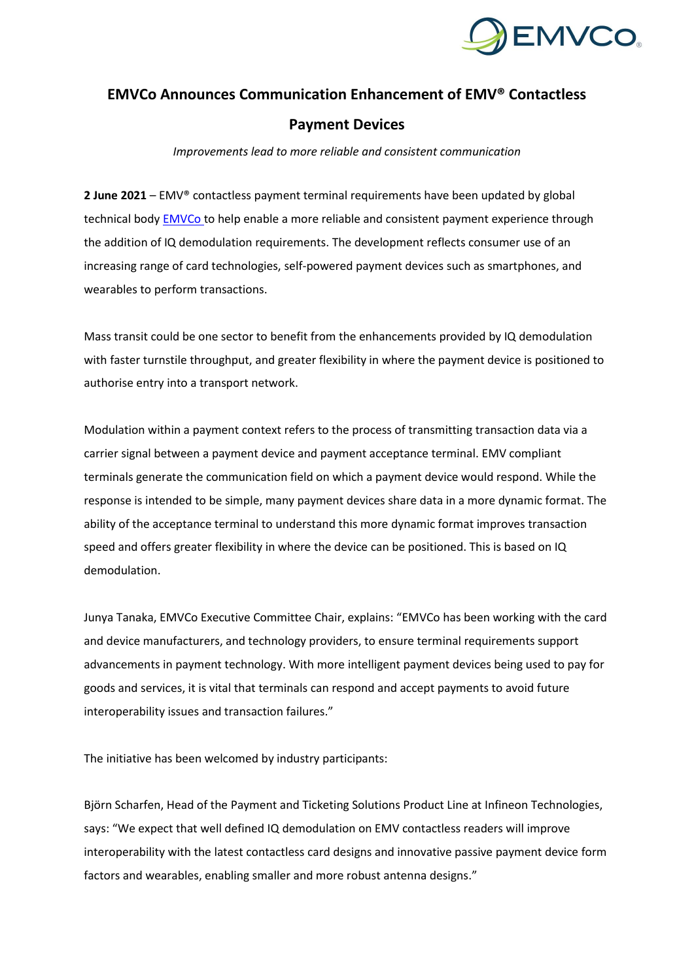

# **EMVCo Announces Communication Enhancement of EMV® Contactless**

## **Payment Devices**

*Improvements lead to more reliable and consistent communication*

**2 June 2021** – EMV® contactless payment terminal requirements have been updated by global technical body **EMVCo** to help enable a more reliable and consistent payment experience through the addition of IQ demodulation requirements. The development reflects consumer use of an increasing range of card technologies, self-powered payment devices such as smartphones, and wearables to perform transactions.

Mass transit could be one sector to benefit from the enhancements provided by IQ demodulation with faster turnstile throughput, and greater flexibility in where the payment device is positioned to authorise entry into a transport network.

Modulation within a payment context refers to the process of transmitting transaction data via a carrier signal between a payment device and payment acceptance terminal. EMV compliant terminals generate the communication field on which a payment device would respond. While the response is intended to be simple, many payment devices share data in a more dynamic format. The ability of the acceptance terminal to understand this more dynamic format improves transaction speed and offers greater flexibility in where the device can be positioned. This is based on IQ demodulation.

Junya Tanaka, EMVCo Executive Committee Chair, explains: "EMVCo has been working with the card and device manufacturers, and technology providers, to ensure terminal requirements support advancements in payment technology. With more intelligent payment devices being used to pay for goods and services, it is vital that terminals can respond and accept payments to avoid future interoperability issues and transaction failures."

The initiative has been welcomed by industry participants:

Björn Scharfen, Head of the Payment and Ticketing Solutions Product Line at Infineon Technologies, says: "We expect that well defined IQ demodulation on EMV contactless readers will improve interoperability with the latest contactless card designs and innovative passive payment device form factors and wearables, enabling smaller and more robust antenna designs."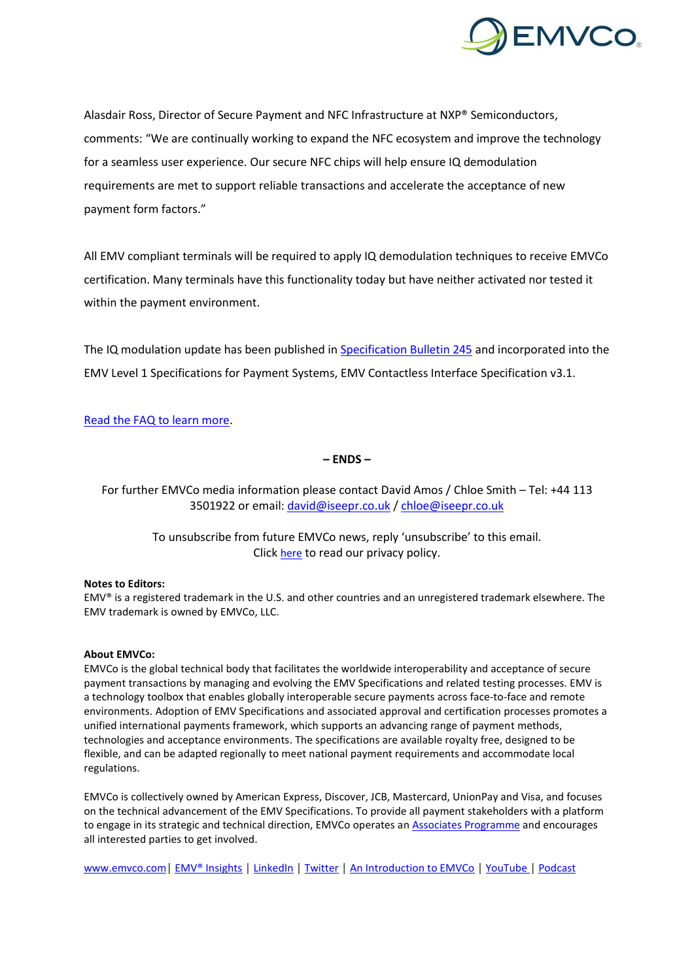

Alasdair Ross, Director of Secure Payment and NFC Infrastructure at NXP® Semiconductors, comments: "We are continually working to expand the NFC ecosystem and improve the technology for a seamless user experience. Our secure NFC chips will help ensure IQ demodulation requirements are met to support reliable transactions and accelerate the acceptance of new payment form factors."

All EMV compliant terminals will be required to apply IQ demodulation techniques to receive EMVCo certification. Many terminals have this functionality today but have neither activated nor tested it within the payment environment.

The IQ modulation update has been published in [Specification Bulletin 245](https://www.emvco.com/document-search/?action=search_documents&publish_date=&emvco_document_version=&emvco_document_book=&px_search=IQ+Modulation&emvco_document_technology%5B%5D=contactless) and incorporated into the EMV Level 1 Specifications for Payment Systems, EMV Contactless Interface Specification v3.1.

### Read the FAQ [to learn more.](https://www.emvco.com/media-centre/chip-acceptance-press-kit/)

**– ENDS –**

For further EMVCo media information please contact David Amos / Chloe Smith – Tel: +44 113 3501922 or email[: david@iseepr.co.uk](mailto:david@iseepr.co.uk) / [chloe@iseepr.co.uk](mailto:chloe@iseepr.co.uk)

> To unsubscribe from future EMVCo news, reply 'unsubscribe' to this email. Click [here](https://iseepr.co.uk/who-we-are/privacy-policy/) to read our privacy policy.

#### **Notes to Editors:**

EMV® is a registered trademark in the U.S. and other countries and an unregistered trademark elsewhere. The EMV trademark is owned by EMVCo, LLC.

#### **About EMVCo:**

EMVCo is the global technical body that facilitates the worldwide interoperability and acceptance of secure payment transactions by managing and evolving the EMV Specifications and related testing processes. EMV is a technology toolbox that enables globally interoperable secure payments across face-to-face and remote environments. Adoption of EMV Specifications and associated approval and certification processes promotes a unified international payments framework, which supports an advancing range of payment methods, technologies and acceptance environments. The specifications are available royalty free, designed to be flexible, and can be adapted regionally to meet national payment requirements and accommodate local regulations.

EMVCo is collectively owned by American Express, Discover, JCB, Mastercard, UnionPay and Visa, and focuses on the technical advancement of the EMV Specifications. To provide all payment stakeholders with a platform to engage in its strategic and technical direction, EMVCo operates a[n Associates Programme](https://www.emvco.com/get-involved/technical-associates/?utm_source=Communications&utm_medium=PR&utm_campaign=Organisational&utm_content=DeploymentStatsPR21) and encourages all interested parties to get involved.

[www.emvco.com](https://www.emvco.com/?utm_source=Communications&utm_medium=PR&utm_campaign=Organisational&utm_content=DeploymentStatsPR21)│ [EMV® Insights](https://www.emvco.com/emv-insights/?utm_source=Communications&utm_medium=PR&utm_campaign=Organisational&utm_content=DeploymentStatsPR21) │ [LinkedIn](http://www.linkedin.com/company/emvco/) │ [Twitter](https://twitter.com/emvco?lang=en-gb) │ [An Introduction to EMVCo](https://www.youtube.com/watch?v=g1aSWgq0l8s) │ [YouTube](https://www.youtube.com/channel/UCQPCa9UJuF5wGslZymPq1sQ) │ [Podcast](https://www.emvco.com/emvco-podcast/?utm_source=Communications&utm_medium=PR&utm_campaign=Organisational&utm_content=DeploymentStatsPR21)